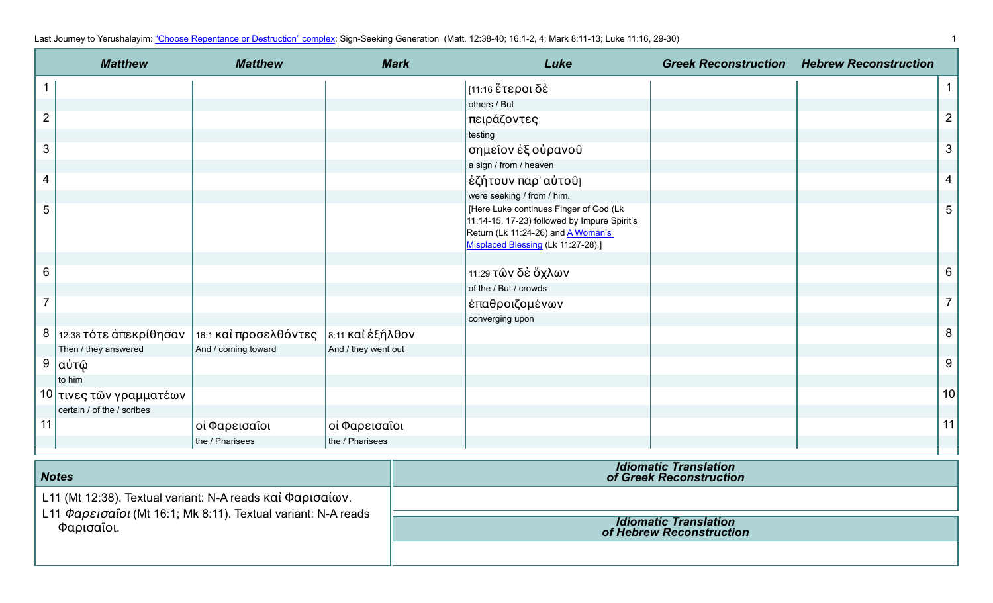| Last Journey to Yerushalayim: "Choose Repentance or Destruction" complex: Sign-Seeking Generation (Matt. 12:38-40; 16:1-2, 4; Mark 8:11-13; Luke 11:16, 29-30) |  |
|----------------------------------------------------------------------------------------------------------------------------------------------------------------|--|
|----------------------------------------------------------------------------------------------------------------------------------------------------------------|--|

|                | <b>Matthew</b>             | <b>Matthew</b>        | <b>Mark</b>         | Luke                                                                                                                                                                      | <b>Greek Reconstruction Hebrew Reconstruction</b> |                  |
|----------------|----------------------------|-----------------------|---------------------|---------------------------------------------------------------------------------------------------------------------------------------------------------------------------|---------------------------------------------------|------------------|
|                |                            |                       |                     | [11:16 ἕτεροι δὲ                                                                                                                                                          |                                                   | $\mathbf{1}$     |
|                |                            |                       |                     | others / But                                                                                                                                                              |                                                   |                  |
| $\overline{2}$ |                            |                       |                     | πειράζοντες                                                                                                                                                               |                                                   | $\overline{2}$   |
|                |                            |                       |                     | testing                                                                                                                                                                   |                                                   |                  |
| $\mathfrak{S}$ |                            |                       |                     | σημεῖον ἐξ οὐρανοῦ                                                                                                                                                        |                                                   | $\mathfrak{S}$   |
|                |                            |                       |                     | a sign / from / heaven                                                                                                                                                    |                                                   |                  |
| 4              |                            |                       |                     | έζήτουν παρ' αὐτοῦ]                                                                                                                                                       |                                                   | $\overline{4}$   |
|                |                            |                       |                     | were seeking / from / him.                                                                                                                                                |                                                   |                  |
| 5              |                            |                       |                     | [Here Luke continues Finger of God (Lk<br>11:14-15, 17-23) followed by Impure Spirit's<br>Return (Lk 11:24-26) and <b>A Woman's</b><br>Misplaced Blessing (Lk 11:27-28).] |                                                   | $\overline{5}$   |
|                |                            |                       |                     |                                                                                                                                                                           |                                                   |                  |
| 6              |                            |                       |                     | 11:29 τῶν δὲ ὄχλων                                                                                                                                                        |                                                   | 6                |
|                |                            |                       |                     | of the / But / crowds                                                                                                                                                     |                                                   |                  |
| $\overline{7}$ |                            |                       |                     | ἐπαθροιζομένων                                                                                                                                                            |                                                   | $\overline{7}$   |
|                |                            |                       |                     | converging upon                                                                                                                                                           |                                                   |                  |
|                | 8   12:38 τότε άπεκρίθησαν | 16:1 και προσελθόντες | 8:11 καὶ ἐξῆλθον    |                                                                                                                                                                           |                                                   | $\boldsymbol{8}$ |
|                | Then / they answered       | And / coming toward   | And / they went out |                                                                                                                                                                           |                                                   |                  |
| 9              | αὐτῷ                       |                       |                     |                                                                                                                                                                           |                                                   | 9                |
|                | to him                     |                       |                     |                                                                                                                                                                           |                                                   |                  |
|                | 10 τινες τῶν γραμματέων    |                       |                     |                                                                                                                                                                           |                                                   | 10               |
|                | certain / of the / scribes |                       |                     |                                                                                                                                                                           |                                                   |                  |
| 11             |                            | οί Φαρεισαΐοι         | οί Φαρεισαΐοι       |                                                                                                                                                                           |                                                   | 11               |
|                |                            | the / Pharisees       | the / Pharisees     |                                                                                                                                                                           |                                                   |                  |

| <b>Notes</b>                                                                                                                             | <b>Idiomatic Translation</b><br>of Greek Reconstruction  |
|------------------------------------------------------------------------------------------------------------------------------------------|----------------------------------------------------------|
| L11 (Mt 12:38). Textual variant: N-A reads καὶ Φαρισαίων.<br>L11 Φαρεισαΐοι (Mt 16:1; Mk 8:11). Textual variant: N-A reads<br>Φαρισαΐοι. |                                                          |
|                                                                                                                                          | <b>Idiomatic Translation</b><br>of Hebrew Reconstruction |
|                                                                                                                                          |                                                          |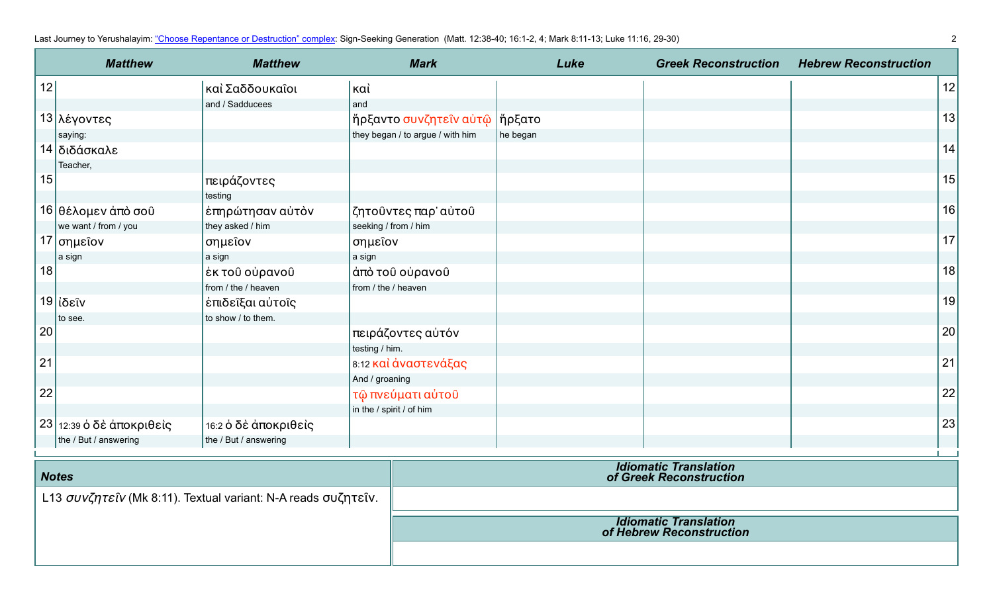Last Journey to Yerushalayim: ["Choose Repentance or Destruction" complex](https://www.jerusalemperspective.com/19657/): Sign-Seeking Generation (Matt. 12:38-40; 16:1-2, 4; Mark 8:11-13; Luke 11:16, 29-30) 22

|    | <b>Matthew</b>             | <b>Matthew</b>        | <b>Mark</b>                      | Luke     | <b>Greek Reconstruction</b> | <b>Hebrew Reconstruction</b> |    |
|----|----------------------------|-----------------------|----------------------------------|----------|-----------------------------|------------------------------|----|
| 12 |                            | καὶ Σαδδουκαῖοι       | καὶ                              |          |                             |                              | 12 |
|    |                            | and / Sadducees       | and                              |          |                             |                              |    |
|    | 13 λέγοντες                |                       | ἤρξαντο συνζητεῖν αὐτῷ           | ∣ἤρξατο  |                             |                              | 13 |
|    | saying:                    |                       | they began / to argue / with him | he began |                             |                              |    |
|    | 14 διδάσκαλε               |                       |                                  |          |                             |                              | 14 |
|    | Teacher,                   |                       |                                  |          |                             |                              |    |
| 15 |                            | πειράζοντες           |                                  |          |                             |                              | 15 |
|    |                            | testing               |                                  |          |                             |                              |    |
|    | 16 θέλομεν άπὸ σοῦ         | έπηρώτησαν αὐτὸν      | ζητοῦντες παρ' αὐτοῦ             |          |                             |                              | 16 |
|    | we want / from / you       | they asked / him      | seeking / from / him             |          |                             |                              |    |
|    | $17$ σημεΐον               | σημεΐον               | σημεΐον                          |          |                             |                              | 17 |
|    | a sign                     | a sign                | a sign                           |          |                             |                              |    |
| 18 |                            | έκ τοῦ οὐρανοῦ        | άπὸ τοῦ οὐρανοῦ                  |          |                             |                              | 18 |
|    |                            | from / the / heaven   | from / the / heaven              |          |                             |                              |    |
|    | 19 ίδεῖν                   | έπιδεῖξαι αὐτοῖς      |                                  |          |                             |                              | 19 |
|    | to see.                    | to show / to them.    |                                  |          |                             |                              |    |
| 20 |                            |                       | πειράζοντες αὐτόν                |          |                             |                              | 20 |
|    |                            |                       | testing / him.                   |          |                             |                              |    |
| 21 |                            |                       | 8:12 και άναστενάξας             |          |                             |                              | 21 |
|    |                            |                       | And / groaning                   |          |                             |                              |    |
| 22 |                            |                       | τῷ πνεύματι αὐτοῦ                |          |                             |                              | 22 |
|    |                            |                       | in the / spirit / of him         |          |                             |                              |    |
|    | $23$ 12:39 ο δε άποκριθείς | 16:2 ὁ δὲ ἀποκριθεὶς  |                                  |          |                             |                              | 23 |
|    | the / But / answering      | the / But / answering |                                  |          |                             |                              |    |

| <b>Notes</b>                                                  | <b>Idiomatic Translation</b><br>of Greek Reconstruction  |
|---------------------------------------------------------------|----------------------------------------------------------|
| L13 συνζητείν (Mk 8:11). Textual variant: N-A reads συζητείν. |                                                          |
|                                                               | <b>Idiomatic Translation</b><br>of Hebrew Reconstruction |
|                                                               |                                                          |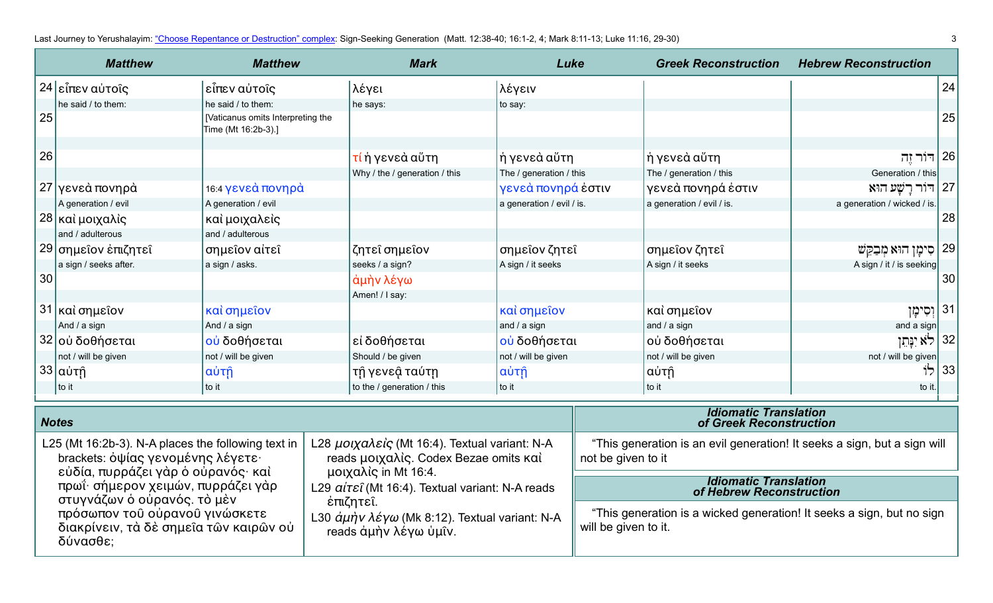Last Journey to Yerushalayim: ["Choose Repentance or Destruction" complex](https://www.jerusalemperspective.com/19657/): Sign-Seeking Generation (Matt. 12:38-40; 16:1-2, 4; Mark 8:11-13; Luke 11:16, 29-30) 33

δύνασθε;

| <b>Matthew</b><br><b>Matthew</b>                                                                        |                                                                          |                                                          | <b>Mark</b> | Luke                                                                                                           |                           | <b>Greek Reconstruction</b>                                                                    | <b>Hebrew Reconstruction</b>                                          |                              |              |
|---------------------------------------------------------------------------------------------------------|--------------------------------------------------------------------------|----------------------------------------------------------|-------------|----------------------------------------------------------------------------------------------------------------|---------------------------|------------------------------------------------------------------------------------------------|-----------------------------------------------------------------------|------------------------------|--------------|
|                                                                                                         | 24 εἶπεν αὐτοῖς                                                          | εἶπεν αὐτοῖς                                             |             | λέγει                                                                                                          | λέγειν                    |                                                                                                |                                                                       |                              | 24           |
|                                                                                                         | he said / to them:                                                       | he said / to them:                                       |             | he says:                                                                                                       | to say:                   |                                                                                                |                                                                       |                              |              |
| 25                                                                                                      |                                                                          | [Vaticanus omits Interpreting the<br>Time (Mt 16:2b-3).] |             |                                                                                                                |                           |                                                                                                |                                                                       |                              | 25           |
|                                                                                                         |                                                                          |                                                          |             |                                                                                                                |                           |                                                                                                |                                                                       |                              |              |
| 26                                                                                                      |                                                                          |                                                          |             | <mark>τί</mark> ή γενεὰ αὕτη                                                                                   | ή γενεὰ αὕτη              |                                                                                                | ἡ γενεὰ αὕτη                                                          | ן 126 דור זֶה <mark>(</mark> |              |
|                                                                                                         |                                                                          |                                                          |             | Why / the / generation / this                                                                                  | The / generation / this   |                                                                                                | The / generation / this                                               | Generation / this            |              |
|                                                                                                         | 27 γενεά πονηρά                                                          | 16:4 γενεά πονηρά                                        |             |                                                                                                                | γενεά πονηρά έστιν        |                                                                                                | γενεά πονηρά έστιν                                                    | 27   דּוֹר רַשָּׁע הוּא      |              |
|                                                                                                         | A generation / evil                                                      | A generation / evil                                      |             |                                                                                                                | a generation / evil / is. |                                                                                                | a generation / evil / is.                                             | a generation / wicked / is.  |              |
|                                                                                                         | 28 και μοιχαλίς                                                          | καὶ μοιχαλεὶς                                            |             |                                                                                                                |                           |                                                                                                |                                                                       |                              | 28           |
|                                                                                                         | and / adulterous                                                         | and / adulterous                                         |             |                                                                                                                |                           |                                                                                                |                                                                       |                              |              |
|                                                                                                         | 29 σημεΐον έπιζητεῖ                                                      | σημεΐον αίτεῖ                                            |             | ζητε <i>ι</i> σημείον                                                                                          | σημεΐον ζητεΐ             |                                                                                                | σημεΐον ζητεΐ                                                         | סִימָן הוּא מִבָקֵשׁ         | $ 29\rangle$ |
|                                                                                                         | a sign / seeks after.                                                    | a sign / asks.                                           |             | seeks / a sign?                                                                                                | A sign / it seeks         |                                                                                                | A sign / it seeks                                                     | A sign / it / is seeking     |              |
| 30                                                                                                      |                                                                          |                                                          |             | άμὴν λέγω                                                                                                      |                           |                                                                                                |                                                                       |                              | 30           |
|                                                                                                         |                                                                          |                                                          |             | Amen! / I say:                                                                                                 |                           |                                                                                                |                                                                       |                              |              |
|                                                                                                         | 31 και σημεΐον                                                           | καί σημεΐον                                              |             |                                                                                                                | καὶ σημεΐον               |                                                                                                | καὶ σημεῖον                                                           | 31  וְסִימָן                 |              |
|                                                                                                         | And / a sign                                                             | And / a sign                                             |             |                                                                                                                | and / a sign              |                                                                                                | and / a sign                                                          | and a sign                   |              |
|                                                                                                         | 32 οὐ δοθήσεται                                                          | ού δοθήσεται                                             |             | εί δοθήσεται                                                                                                   | ού δοθήσεται              |                                                                                                | οὐ δοθήσεται                                                          | 32   לא יִנְּתֵן             |              |
|                                                                                                         | not / will be given                                                      | not / will be given                                      |             | Should / be given                                                                                              | not / will be given       |                                                                                                | not / will be given                                                   | not / will be given          |              |
|                                                                                                         | 33 αὐτῆ                                                                  | αὐτῆ                                                     |             | τῆ γενεậ ταύτη                                                                                                 | αὐτῆ                      |                                                                                                | αὐτῆ                                                                  | לוֹ                          | 33           |
|                                                                                                         | to it                                                                    | to it                                                    |             | to the / generation / this                                                                                     | to it                     |                                                                                                | to it                                                                 | to it.                       |              |
|                                                                                                         | <b>Notes</b>                                                             |                                                          |             |                                                                                                                |                           | <b>Idiomatic Translation</b><br>of Greek Reconstruction                                        |                                                                       |                              |              |
| L25 (Mt 16:2b-3). N-A places the following text in<br>brackets: όψίας γενομένης λέγετε·                 |                                                                          |                                                          |             | L28 μοιχαλείς (Mt 16:4). Textual variant: N-A<br>reads μοιχαλίς. Codex Bezae omits καί<br>μοιχαλίς in Mt 16:4. |                           | "This generation is an evil generation! It seeks a sign, but a sign will<br>not be given to it |                                                                       |                              |              |
| εὐδία, πυρράζει γὰρ ὁ οὐρανός· καὶ<br>πρωΐ· σήμερον χειμών, πυρράζει γάρ<br>στυγνάζων ὁ οὐρανός. τὸ μὲν |                                                                          |                                                          |             | L29 aitei (Mt 16:4). Textual variant: N-A reads<br>έπιζητεῖ.                                                   |                           |                                                                                                | <b>Idiomatic Translation</b><br>of Hebrew Reconstruction              |                              |              |
|                                                                                                         | πρόσωπον του ούρανου γινώσκετε<br>διακρίνειν, τὰ δὲ σημεῖα τῶν καιρῶν οὐ |                                                          |             | L30 άμην λέγω (Mk 8:12). Textual variant: N-A<br>reads ἀμὴν λέγω ὑμῖν.                                         |                           | will be given to it.                                                                           | "This generation is a wicked generation! It seeks a sign, but no sign |                              |              |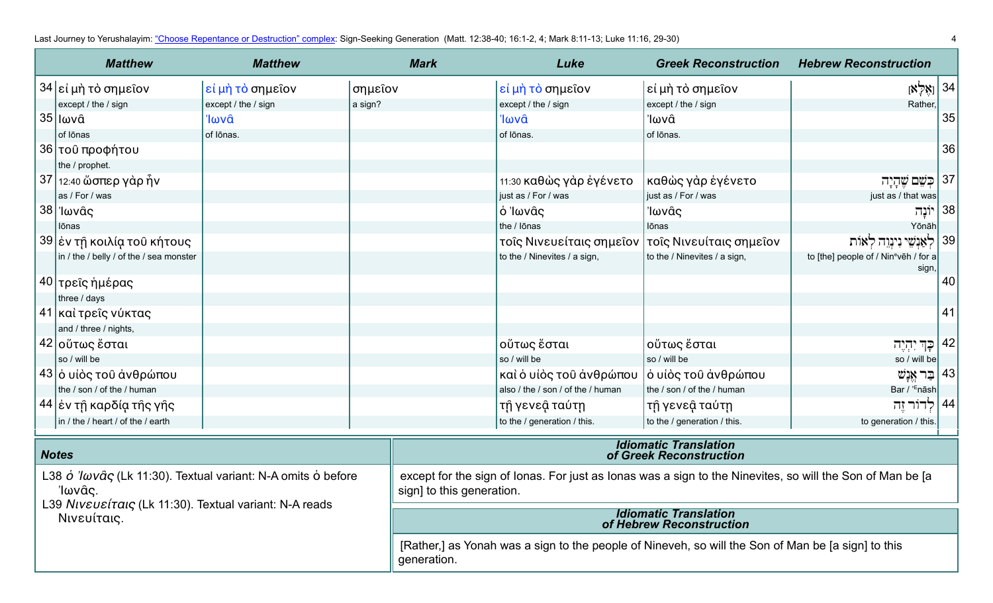Last Journey to Yerushalayim: ["Choose Repentance or Destruction" complex](https://www.jerusalemperspective.com/19657/): Sign-Seeking Generation (Matt. 12:38-40; 16:1-2, 4; Mark 8:11-13; Luke 11:16, 29-30) 4 (29-30)

|                                                                                             | <b>Matthew</b>                          | <b>Matthew</b>      |                                                                                                                                        | <b>Mark</b>                                                                                        | Luke                                               | <b>Greek Reconstruction</b>                             | <b>Hebrew Reconstruction</b>                               |    |
|---------------------------------------------------------------------------------------------|-----------------------------------------|---------------------|----------------------------------------------------------------------------------------------------------------------------------------|----------------------------------------------------------------------------------------------------|----------------------------------------------------|---------------------------------------------------------|------------------------------------------------------------|----|
|                                                                                             | 34 εί μή τὸ σημεῖον                     | εί μή τὸ σημεῖον    | σημεΐον                                                                                                                                |                                                                                                    | εἰ μὴ τὸ σημεῖον                                   | εί μὴ τὸ σημεῖον                                        | $\left[\aleph_{7}^{0}\aleph_{1}\right]$ 34]                |    |
|                                                                                             | except / the / sign                     | except / the / sign | a sign?                                                                                                                                |                                                                                                    | except / the / sign                                | except / the / sign                                     | Rather,                                                    |    |
|                                                                                             | <sub>⊦</sub> 35   Ιωνᾶ                  | Ίωνᾶ                |                                                                                                                                        |                                                                                                    | Ίωνα                                               | Ίωνᾶ                                                    |                                                            | 35 |
|                                                                                             | of lōnas                                | of lōnas.           |                                                                                                                                        |                                                                                                    | of lōnas.                                          | of lōnas.                                               |                                                            |    |
|                                                                                             | 36 του προφήτου                         |                     |                                                                                                                                        |                                                                                                    |                                                    |                                                         |                                                            | 36 |
|                                                                                             | the / prophet.                          |                     |                                                                                                                                        |                                                                                                    |                                                    |                                                         |                                                            |    |
|                                                                                             | 37 12:40 ὥσπερ γὰρ ἦν                   |                     |                                                                                                                                        |                                                                                                    | 11:30 καθὼς γὰρ ἐγένετο                            | καθὼς γὰρ ἐγένετο                                       | 37   כִּשֵׁם שֵׁהָיָה                                      |    |
|                                                                                             | as / For / was                          |                     |                                                                                                                                        |                                                                                                    | just as / For / was                                | just as / For / was                                     | just as / that was                                         |    |
|                                                                                             | , 38 'Ιωνᾶς ∣                           |                     |                                                                                                                                        |                                                                                                    | ὁ Ἰωνᾶς                                            | 'Ιωνᾶς                                                  | יוֹנָה                                                     | 38 |
|                                                                                             | lōnas                                   |                     |                                                                                                                                        |                                                                                                    | the / lōnas                                        | lōnas                                                   | Yōnāh                                                      |    |
|                                                                                             | 39 έν τῆ κοιλία τοῦ κήτους              |                     |                                                                                                                                        |                                                                                                    | τοῖς Νινευείταις σημεῖον   τοῖς Νινευίταις σημεῖον |                                                         | לאַנִשִׁי נִינְוֵה לְאוֹת                                  | 39 |
|                                                                                             | in / the / belly / of the / sea monster |                     |                                                                                                                                        |                                                                                                    | to the / Ninevites / a sign,                       | to the / Ninevites / a sign,                            | to [the] people of / Nin <sup>e</sup> veh / for a<br>sign, |    |
|                                                                                             | 40  τρεῖς ἡμέρας                        |                     |                                                                                                                                        |                                                                                                    |                                                    |                                                         |                                                            | 40 |
|                                                                                             | three / days                            |                     |                                                                                                                                        |                                                                                                    |                                                    |                                                         |                                                            |    |
|                                                                                             | 41 καὶ τρεῖς νύκτας                     |                     |                                                                                                                                        |                                                                                                    |                                                    |                                                         |                                                            | 41 |
|                                                                                             | and / three / nights,                   |                     |                                                                                                                                        |                                                                                                    |                                                    |                                                         |                                                            |    |
|                                                                                             | 42 οὕτως ἔσται                          |                     |                                                                                                                                        |                                                                                                    | οὕτως ἔσται                                        | οὕτως ἔσται                                             | ַ כְּךְ יִהְיֶה                                            | 42 |
|                                                                                             | so / will be                            |                     |                                                                                                                                        |                                                                                                    | so / will be                                       | so / will be                                            | so / will be                                               |    |
|                                                                                             | 43 ο υίὸς τοῦ ἀνθρώπου                  |                     |                                                                                                                                        |                                                                                                    | καὶ ὁ υἱὸς τοῦ ἀνθρώπου                            | ὁ υἱὸς τοῦ ἀνθρώπου                                     | 43   בַּר אֵנָשׁ                                           |    |
|                                                                                             | the / son / of the / human              |                     |                                                                                                                                        |                                                                                                    | also / the / son / of the / human                  | the / son / of the / human                              | Bar / ' <sup>E</sup> nāsh                                  |    |
|                                                                                             | 44  ἐν τῇ καρδία τῆς γῆς                |                     |                                                                                                                                        |                                                                                                    | τῆ γενεậ ταύτη                                     | τῆ γενεậ ταύτη                                          | 44   לְדוֹר זֶה                                            |    |
|                                                                                             | in / the / heart / of the / earth       |                     |                                                                                                                                        |                                                                                                    | to the / generation / this.                        | to the / generation / this.                             | to generation / this.                                      |    |
| <b>Notes</b>                                                                                |                                         |                     |                                                                                                                                        |                                                                                                    |                                                    | <b>Idiomatic Translation</b><br>of Greek Reconstruction |                                                            |    |
| L38 $\acute{o}$ 'lωvâς (Lk 11:30). Textual variant: N-A omits $\acute{o}$ before<br>'Ιωνᾶς. |                                         |                     | except for the sign of Ionas. For just as Ionas was a sign to the Ninevites, so will the Son of Man be [a<br>sign] to this generation. |                                                                                                    |                                                    |                                                         |                                                            |    |
| L39 Niveusitaic (Lk 11:30). Textual variant: N-A reads<br>Νινευίταις.                       |                                         |                     | <b>Idiomatic Translation</b><br>of Hebrew Reconstruction                                                                               |                                                                                                    |                                                    |                                                         |                                                            |    |
|                                                                                             |                                         |                     | generation.                                                                                                                            | [Rather,] as Yonah was a sign to the people of Nineveh, so will the Son of Man be [a sign] to this |                                                    |                                                         |                                                            |    |